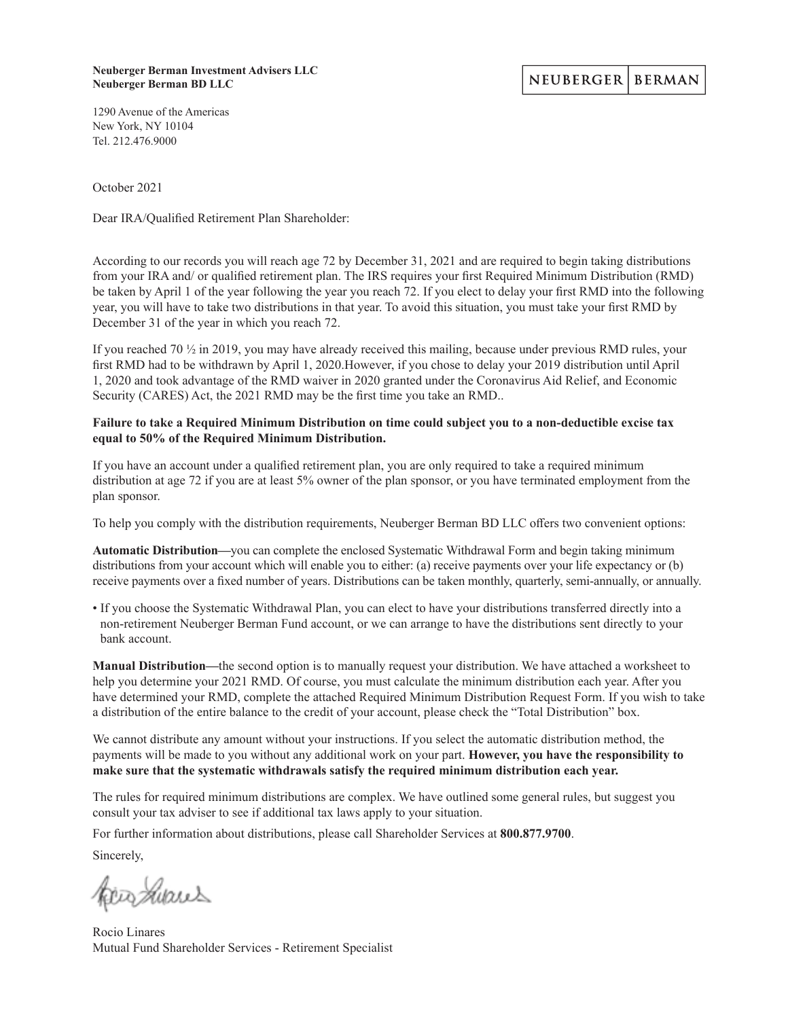#### **Neuberger Berman Investment Advisers LLC Neuberger Berman BD LLC**

#### NEUBERGER **BERMAN**

1290 Avenue of the Americas New York, NY 10104 Tel. 212.476.9000

October 2021

Dear IRA/Qualified Retirement Plan Shareholder:

According to our records you will reach age 72 by December 31, 2021 and are required to begin taking distributions from your IRA and/ or qualified retirement plan. The IRS requires your first Required Minimum Distribution (RMD) be taken by April 1 of the year following the year you reach 72. If you elect to delay your first RMD into the following year, you will have to take two distributions in that year. To avoid this situation, you must take your first RMD by December 31 of the year in which you reach 72.

If you reached 70 ½ in 2019, you may have already received this mailing, because under previous RMD rules, your first RMD had to be withdrawn by April 1, 2020.However, if you chose to delay your 2019 distribution until April 1, 2020 and took advantage of the RMD waiver in 2020 granted under the Coronavirus Aid Relief, and Economic Security (CARES) Act, the 2021 RMD may be the first time you take an RMD..

#### **Failure to take a Required Minimum Distribution on time could subject you to a non-deductible excise tax equal to 50% of the Required Minimum Distribution.**

If you have an account under a qualified retirement plan, you are only required to take a required minimum distribution at age 72 if you are at least 5% owner of the plan sponsor, or you have terminated employment from the plan sponsor.

To help you comply with the distribution requirements, Neuberger Berman BD LLC offers two convenient options:

**Automatic Distribution—**you can complete the enclosed Systematic Withdrawal Form and begin taking minimum distributions from your account which will enable you to either: (a) receive payments over your life expectancy or (b) receive payments over a fixed number of years. Distributions can be taken monthly, quarterly, semi-annually, or annually.

• If you choose the Systematic Withdrawal Plan, you can elect to have your distributions transferred directly into a non-retirement Neuberger Berman Fund account, or we can arrange to have the distributions sent directly to your bank account.

**Manual Distribution—**the second option is to manually request your distribution. We have attached a worksheet to help you determine your 2021 RMD. Of course, you must calculate the minimum distribution each year. After you have determined your RMD, complete the attached Required Minimum Distribution Request Form. If you wish to take a distribution of the entire balance to the credit of your account, please check the "Total Distribution" box.

We cannot distribute any amount without your instructions. If you select the automatic distribution method, the payments will be made to you without any additional work on your part. **However, you have the responsibility to make sure that the systematic withdrawals satisfy the required minimum distribution each year.**

The rules for required minimum distributions are complex. We have outlined some general rules, but suggest you consult your tax adviser to see if additional tax laws apply to your situation.

For further information about distributions, please call Shareholder Services at **800.877.9700**.

Sincerely,

kia hiaus

Rocio Linares Mutual Fund Shareholder Services - Retirement Specialist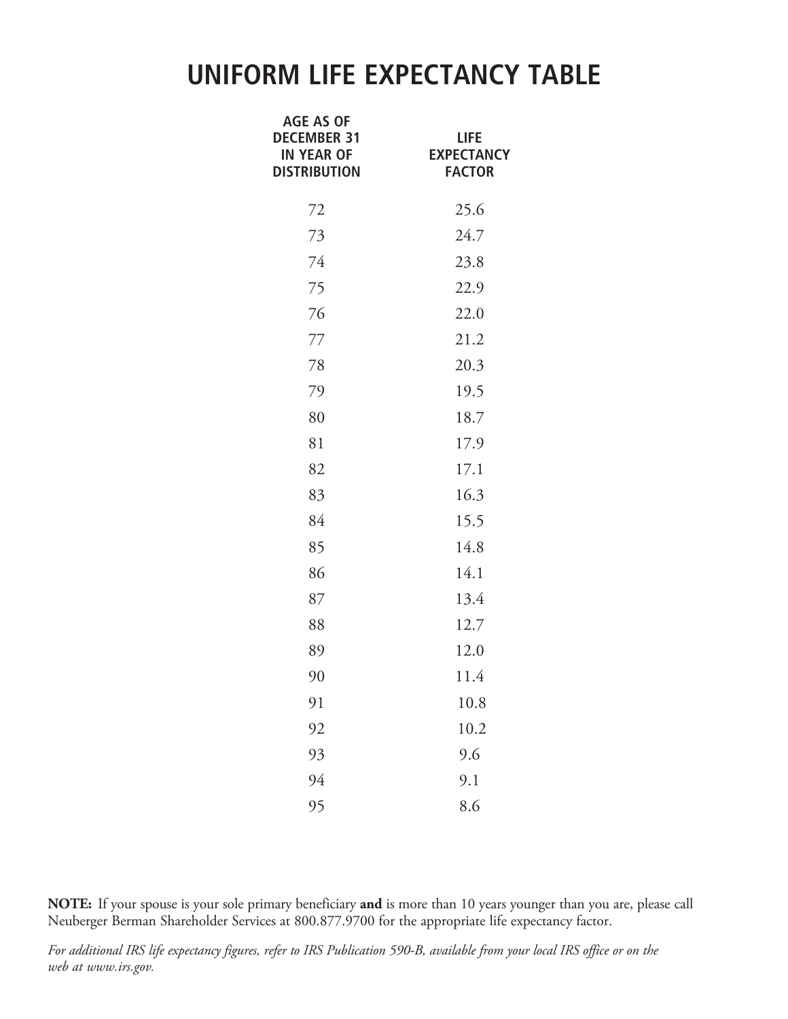# **UNIFORM LIFE EXPECTANCY TABLE**

| <b>AGE AS OF</b><br><b>DECEMBER 31</b><br><b>IN YEAR OF</b><br><b>DISTRIBUTION</b> | life<br><b>EXPECTANCY</b><br><b>FACTOR</b> |
|------------------------------------------------------------------------------------|--------------------------------------------|
| 72                                                                                 | 25.6                                       |
| 73                                                                                 | 24.7                                       |
| 74                                                                                 | 23.8                                       |
| 75                                                                                 | 22.9                                       |
| 76                                                                                 | 22.0                                       |
| 77                                                                                 | 21.2                                       |
| 78                                                                                 | 20.3                                       |
| 79                                                                                 | 19.5                                       |
| 80                                                                                 | 18.7                                       |
| 81                                                                                 | 17.9                                       |
| 82                                                                                 | 17.1                                       |
| 83                                                                                 | 16.3                                       |
| 84                                                                                 | 15.5                                       |
| 85                                                                                 | 14.8                                       |
| 86                                                                                 | 14.1                                       |
| 87                                                                                 | 13.4                                       |
| 88                                                                                 | 12.7                                       |
| 89                                                                                 | 12.0                                       |
| 90                                                                                 | 11.4                                       |
| 91                                                                                 | 10.8                                       |
| 92                                                                                 | 10.2                                       |
| 93                                                                                 | 9.6                                        |
| 94                                                                                 | 9.1                                        |
| 95                                                                                 | 8.6                                        |

**NOTE:** If your spouse is your sole primary beneficiary **and** is more than 10 years younger than you are, please call Neuberger Berman Shareholder Services at 800.877.9700 for the appropriate life expectancy factor.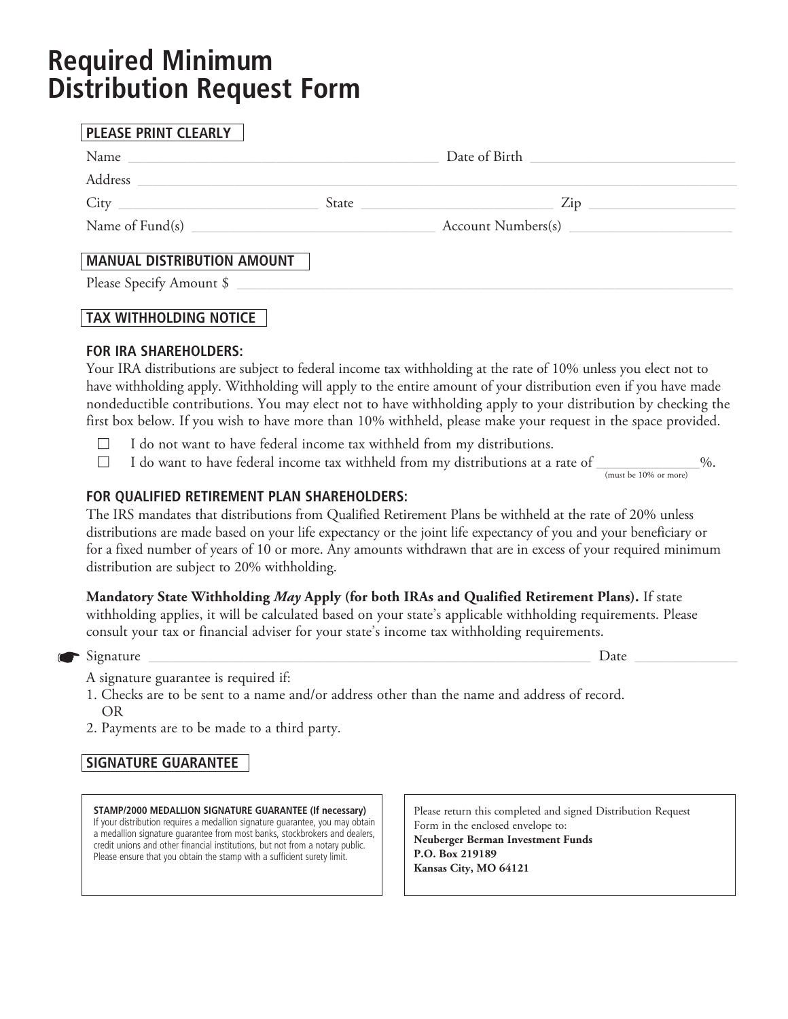# **Required Minimum Distribution Request Form**

| PLEASE PRINT CLEARLY                                                                                                                                                                                                          |                                                                                                                                                                                                                                                                                                  |  |  |
|-------------------------------------------------------------------------------------------------------------------------------------------------------------------------------------------------------------------------------|--------------------------------------------------------------------------------------------------------------------------------------------------------------------------------------------------------------------------------------------------------------------------------------------------|--|--|
| Name experience and the second service of the service of the service of the service of the service of the service of the service of the service of the service of the service of the service of the service of the service of | Date of Birth New York Changes and State Changes and State Changes and State Changes and State Changes and State Changes and State Changes and State Changes and State Changes and State Changes and State Changes and State C                                                                   |  |  |
|                                                                                                                                                                                                                               |                                                                                                                                                                                                                                                                                                  |  |  |
|                                                                                                                                                                                                                               |                                                                                                                                                                                                                                                                                                  |  |  |
|                                                                                                                                                                                                                               |                                                                                                                                                                                                                                                                                                  |  |  |
| <b>MANUAL DISTRIBUTION AMOUNT</b>                                                                                                                                                                                             |                                                                                                                                                                                                                                                                                                  |  |  |
|                                                                                                                                                                                                                               | Please Specify Amount \$                                                                                                                                                                                                                                                                         |  |  |
| <b>TAX WITHHOLDING NOTICE</b>                                                                                                                                                                                                 |                                                                                                                                                                                                                                                                                                  |  |  |
| <b>FOR IRA SHAREHOLDERS:</b>                                                                                                                                                                                                  | $\mathbf{r}$ and $\mathbf{r}$ and $\mathbf{r}$ and $\mathbf{r}$ and $\mathbf{r}$ and $\mathbf{r}$ and $\mathbf{r}$ and $\mathbf{r}$ and $\mathbf{r}$ and $\mathbf{r}$ and $\mathbf{r}$ and $\mathbf{r}$ and $\mathbf{r}$ and $\mathbf{r}$ and $\mathbf{r}$ and $\mathbf{r}$ and $\mathbf{r}$ and |  |  |

Your IRA distributions are subject to federal income tax withholding at the rate of 10% unless you elect not to have withholding apply. Withholding will apply to the entire amount of your distribution even if you have made nondeductible contributions. You may elect not to have withholding apply to your distribution by checking the first box below. If you wish to have more than 10% withheld, please make your request in the space provided.

- $\Box$  I do not want to have federal income tax withheld from my distributions.
- $\Box$  I do want to have federal income tax withheld from my distributions at a rate of  $\Box$ (must be 10% or more)

### **FOR QUALIFIED RETIREMENT PLAN SHAREHOLDERS:**

The IRS mandates that distributions from Qualified Retirement Plans be withheld at the rate of 20% unless distributions are made based on your life expectancy or the joint life expectancy of you and your beneficiary or for a fixed number of years of 10 or more. Any amounts withdrawn that are in excess of your required minimum distribution are subject to 20% withholding.

#### **Mandatory State Withholding** *May* **Apply (for both IRAs and Qualified Retirement Plans).** If state withholding applies, it will be calculated based on your state's applicable withholding requirements. Please

consult your tax or financial adviser for your state's income tax withholding requirements.

 $Signature \_\_$ 

- A signature guarantee is required if:
- 1. Checks are to be sent to a name and/or address other than the name and address of record. OR
- 2. Payments are to be made to a third party.

### **SIGNATURE GUARANTEE**

**STAMP/2000 MEDALLION SIGNATURE GUARANTEE (If necessary)** If your distribution requires a medallion signature guarantee, you may obtain a medallion signature guarantee from most banks, stockbrokers and dealers, credit unions and other financial institutions, but not from a notary public. Please ensure that you obtain the stamp with a sufficient surety limit.

Please return this completed and signed Distribution Request Form in the enclosed envelope to: **Neuberger Berman Investment Funds P.O. Box 219189 Kansas City, MO 64121**